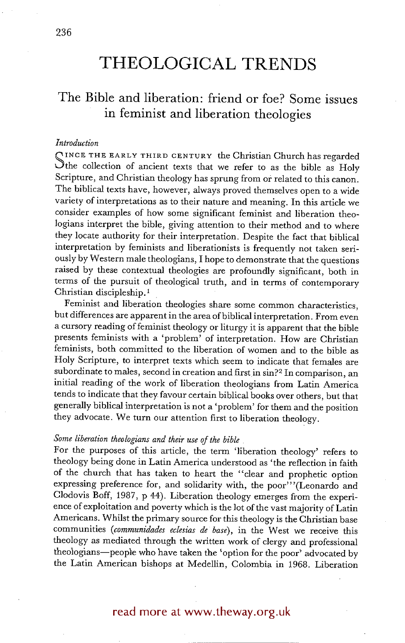# **THEOLOGICAL TRENDS**

## **The Bible and liberation: friend or foe? Some issues in feminist and liberation theologies**

#### *Introduction*

SINCE THE EARLY THIRD CENTURY the Christian Church has regarded Sthe collection of ancient texts that we refer to as the bible as Holy Scripture, and Christian theology has sprung from or related to this canon. The biblical texts have, however, always proved themselves open to a wide variety of interpretations as to their nature and meaning. In this article we consider examples of how some significant feminist and liberation theologians interpret the bible, giving attention to their method and to where they locate authority for their interpretation. Despite the fact that biblical interpretation by feminists and liberationists is frequently not taken seriously by Western maie theologians, I hope to demonstrate that the questions raised by these contextual theologies are profoundly significant, both in terms of the pursuit of theological truth, and in terms of contemporary Christian discipleship.<sup>1</sup>

Feminist and liberation theologies share some common characteristics, but differences are apparent in the area of biblical interpretation. From even a cursory reading of feminist theology or liturgy it is apparent that the bible presents feminists with a 'problem' of interpretation. How are Christian feminists, both committed to the liberation of women and to the bible as Holy Scripture, to interpret texts which seem to indicate that females are subordinate to males, second in creation and first in sin?<sup>2</sup> In comparison, an initial reading of the work of liberation theologians from Latin America tends to indicate that they favour certain biblical books over others, but that generally biblical interpretation is not a 'problem' for them and the position they advocate. We turn our attention first to liberation theology.

#### *Some liberation theologians and their use of the bible*

For the purposes of this article, the term 'liberation theology' refers to theology being done in Latin America understood as 'the reflection in faith of the church that has taken to heart the "clear and prophetic option expressing preference for, and solidarity with, the poor"'(Leonardo and Clodovis Boff, 1987, p 44). Liberation theology emerges from the experience of exploitation and poverty which is the lot of the vast majority of Latin Americans. Whilst the primary source for this theology is the Christian base communities *(communidades eclesias de base),* in the West we receive this theology as mediated through the written work of clergy and professional theologians-people who have taken the 'option for the poor' advocated by the Latin American bishops at Medellin, Colombia in 1968. Liberation

### read more at www.theway.org.uk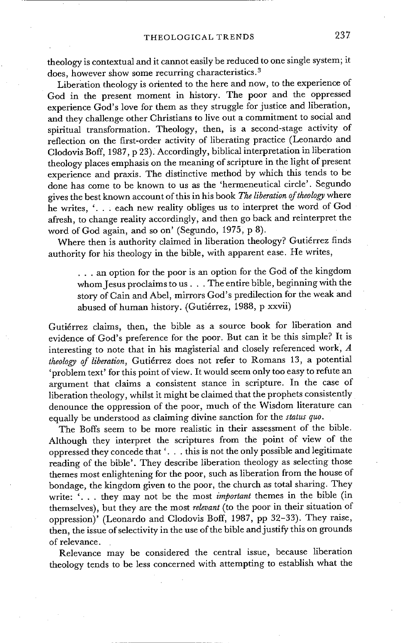theology is contextual and it cannot easily be reduced to one single system; it does, however show some recurring characteristics. 3

Liberation theology is oriented to the here and now, to the experience of God in the present moment in history. The poor and the oppressed experience God's love for them as they struggle for justice and liberation, and they challenge other Christians to live out a commitment to social and spiritual transformation. Theology, then, is a second-stage activity of reflection on the first-order activity of liberating practice (Leonardo and Clodovis Boff, 1987, p 23). Accordingly, biblical interpretation in liberation theology places emphasis on the meaning of scripture in the light of present experience and praxis. The distinctive method by which this tends to be done has come to be known to us as the 'hermeneutical circle'. Segundo gives the best known account of this in his book *The liberation of theology* where he writes, '... each new reality obliges us to interpret the word of God afresh, to change reality accordingly, and then go back and reinterpret the word of God again, and so on' (Segundo, 1975; p 8).

Where then is authority claimed in liberation theology? Gutiérrez finds authority for his theology in the bible, with apparent ease. He writes,

• . . an option for the poor is an option for the God of the kingdom whom Jesus proclaims to us... The entire bible, beginning with the story of Cain and Abel, mirrors God's predilection for the weak and abused of human history. (Guti6rrez, 1988, p xxvii)

Gutiérrez claims, then, the bible as a source book for liberation and evidence of God's preference for the poor. But can it be this simple? It is interesting to note that in his magisterial and closely referenced work, A *theology of liberation,* Guti6rrez does not refer to Romans 13, a potential 'problem text' for this point of view. It would seem only too easy to refute an argument that claims a consistent stance in scripture. In the case of liberation theology, whilst it might be claimed that the prophets consistently denounce the oppression of the poor, much of the Wisdom literature can equally be understood as claiming divine sanction for the *status quo.* 

The Boffs seem to be more realistic in their assessment of the bible. Although they interpret the scriptures from the point of view of the oppressed they concede that '.. i this is not the only possible and legitimate reading of the bible'. They describe liberation theology as selecting those themes most enlightening for the poor, such as liberation from the house of bondage, the kingdom given to the poor, the church as total sharing. They write: '... they may not be the most *important* themes in the bible (in themselves), but they are the most *relevant* (to the poor in their situation of oppression)' (Leonardo and Clodovis Boff, 1987, pp 32-33). They raise, then, the issue of selectivity in the use of the bible and justify this on grounds of relevance.

Relevance may be considered the central issue, because liberation theology tends to be less concerned with attempting to establish what the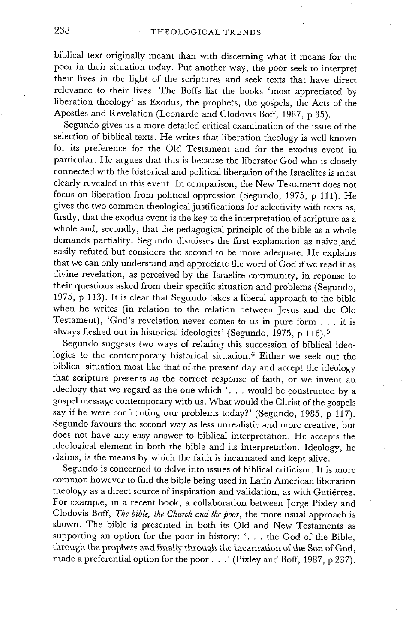biblical text originally meant than with discerning what it means for the poor in their situation today. Put another way, the poor seek to interpret their lives in the light of the scriptures and seek texts that have direct relevance to their lives. The Boffs list the books 'most appreciated by liberation theology' as Exodus, the prophets, the gospels, the Acts of the Apostles and Revelation (Leonardo and Clodovis Boff, 1987, p 35).

Segundo gives us a more detailed critical examination of the issue of the selection of biblical texts. He writes that liberation theology is well known for its preference for the Old Testament and for the exodus event in particular. He argues that this is because the liberator God who is closely connected with the historical and political liberation of the Israelites is most clearly revealed in this event. In comparison, the New Testament does not focus on liberation from political oppression (Segundo, 1975, p 111). He gives the two common theological justifications for selectivity with texts as, firstly, that the exodus event is the key to the interpretation of scripture as a whole and, secondly, that the pedagogical principle of the bible as a whole demands partiality. Segundo dismisses the first explanation as naive and easily refuted but considers the second to be more adequate. He explains that we can only understand and appreciate the word of God if we read it as divine revelation, as perceived by the Israelite community, in reponse to their questions asked from their specific situation and problems (Segundo, 1975, p 113). It is clear that Segundo takes a liberal approach to the bible when he writes (in relation to the relation between Jesus and the Old Testament), 'God's revelation never comes to us in pure form . . . it is always fleshed out in historical ideologies' (Segundo, 1975, p 116). 5

Segundo suggests two ways of relating this succession of biblical ideologies to the contemporary historical situation.<sup>6</sup> Either we seek out the biblical situation most like that of the present day and accept the ideology that scripture presents as the correct response of faith, or we invent an ideology that we regard as the one which '... would be constructed by a gospel message contemporary with us. What would the Christ of the gospels say if he were confronting our problems today?' (Segundo, 1985, p 117). Segundo favours the second way as less unrealistic and more creative, but does not have any easy answer to biblical interpretation. He accepts the ideological element in both the bible and its interpretation. Ideology, he claims, is the means by which the faith is incarnated and kept alive.

Segundo is concerned to delve into issues of biblical criticism. It is more common however to find the bible being used in Latin American liberation theology as a direct source of inspiration and validation, as with Gutiérrez. For example, in a recent book, a collaboration between Jorge Pixley and Clodovis Boff, *The bible, the Church and the poor,* the more usual approach is shown. The bible is presented in both its Old and New Testaments as supporting an option for the poor in history: '... the God of the Bible, through the prophets and finally through the incarnation of the Son of God, made a preferential option for the poor...' (Pixley and Boff, 1987, p 237).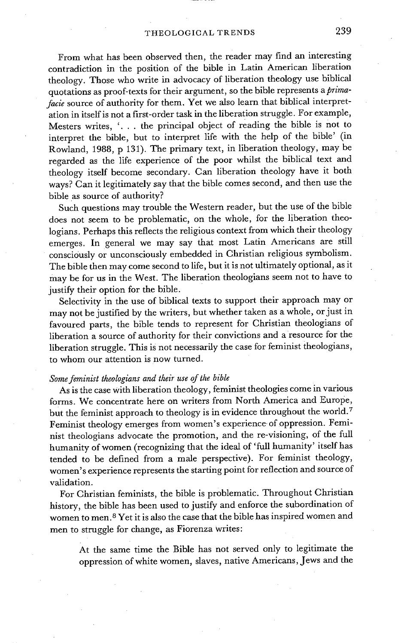From what has been observed then, the reader may find an interesting contradiction in the position of the bible in Latin American liberation theology. Those who write in advocacy of liberation theology use biblical quotations as proof-texts for their argument, so the bible represents a *primafacie* source of authority for them. Yet we also learn that biblical interpretation in itself is not a first-order task in the liberation struggle. For example, Mesters writes, '... the principal object of reading the bible is not to interpret the bible, but to interpret life with the help of the bible' (in Rowland, 1988, p 131). The primary text, in liberation theology, may be regarded as the life experience of the poor whilst the biblical text and theology itself become secondary. Can liberation theology have it both ways? Can it legitimately say that the bible comes second, and then use the bible as source of authority?

Such questions may trouble the Western reader, but the use of the bible does not seem to be problematic, on the whole, for the liberation theologians. Perhaps this reflects the religious context from which their theology emerges. In general we may say that most Latin Americans are still consciously or unconsciously embedded in Christian religious symbolism. The bible then may come second to life, but it is not ultimately optional, as it may be for us in the West. The liberation theologians seem not to have to justify their option for the bible.

Selectivity in the use of biblical texts to support their approach may or may not be justified by the writers, but whether taken as a whole, or just in favoured parts, the bible tends to represent for Christian theologians of liberation a source of authority for their convictions and a resource for the liberation struggle. This is not necessarily the case for feminist theologians, to whom our attention is now turned.

#### *Some feminist theologians and their use of the bible*

As is the case with liberation theology, feminist theologies come in various forms. We concentrate here on writers from North America and Europe, but the feminist approach to theology is in evidence throughout the world.<sup>7</sup> Feminist theology emerges from women's experience of oppression. Feminist theologians advocate the promotion, and the re-visioning, of the full humanity of women (recognizing that the ideal of 'full humanity' itself has tended to be defined from a male perspective). For feminist theology, women's experience represents the starting point for reflection and source of validation.

For Christian feminists, the bible is problematic. Throughout Christian history, the bible has been used to justify and enforce the subordination of women to men. 8 Yet it is also the case that the bible has inspired women and men to struggle for change, as Fiorenza writes:

At the same time the Bible has not served only to legitimate the oppression of white women, slaves, native Americans, Jews and the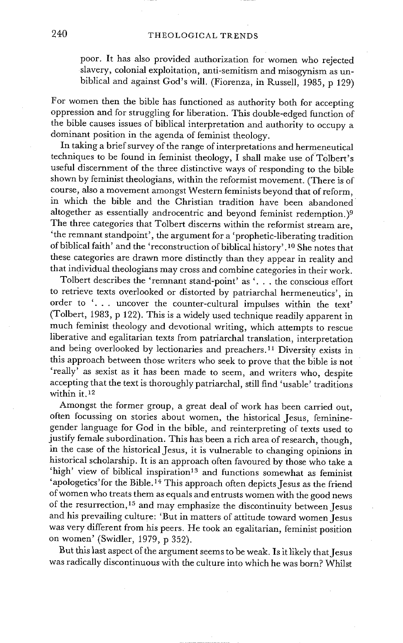poor. It has also provided authorization for women who rejected slavery, colonial exploitation, anti-semitism and misogynism as unbiblical and against God's will. (Fiorenza, in Russell, 1985, p 129)

For women then the bible has functioned as authority both for accepting oppression and for struggling for liberation. This double-edged function of the bible causes issues of biblical interpretation and authority to occupy a dominant position in the agenda of feminist theology.

In taking a brief survey of the range of interpretations and hermeneutical techniques to be found in feminist theology, I shall make use of T01bert's useful discernment of the three distinctive ways of responding to the bible shown by feminist theologians, within the reformist movement. (There is of course, also a movement amongst Western feminists beyond that of reform, in which the bible and the Christian tradition have been abandoned altogether as essentially androcentric and beyond feminist redemption.)<sup>9</sup> The three categories that Tolbert discerns within the reformist stream are, 'the remnant standpoint', the argument for a 'prophetic-liberating tradition of biblical faith' and the 'reconstruction of biblical history'. 10 She notes that these categories are drawn more distinctly than they appear in reality and that individual theologians may cross and combine categories in their work.

Tolbert describes the 'remnant stand-point' as '... the conscious effort to retrieve texts overlooked or distorted by patriarchal herrneneutics', in order to '... uncover the counter-cultural impulses within the text' (Tolbert, 1983, p 122). This is a widely used technique readily apparent in much feminist theology and devotional writing, which attempts to rescue liberative and egalitarian texts from patriarchal translation, interpretation and being overlooked by lectionaries and preachers. 11 Diversity exists in this approach between those writers who seek to prove that the bible is not 'really' as sexist as it has been made to seem, and writers who, despite accepting that the text is thoroughly patriarchal, still find 'usable' traditions within it. 12

Amongst the former group, a great deal of work has been carried out, often focussing on stories about women, the historical Jesus, femininegender language for God in the bible, and reinterpreting of texts used to justify female subordination. This has been a rich area of research, though, in the case of the historical Jesus, it is vulnerable to changing opinions in historical scholarship. It is an approach often favoured by those who take a 'high' view of biblical inspiration<sup>13</sup> and functions somewhat as feminist 'apologetics' for the Bible.<sup>14</sup> This approach often depicts Jesus as the friend of women who treats them as equals and entrusts women with the good news of the resurrection,<sup>15</sup> and may emphasize the discontinuity between Jesus and his prevailing culture: 'But in matters of attitude toward women Jesus was very different from his peers. He took an egalitarian, feminist position on women' (Swidler, 1979, p 352).

But this last aspect of the argument seems to be weak. Is it likely that Jesus was radically discontinuous with the culture into which he was born? Whilst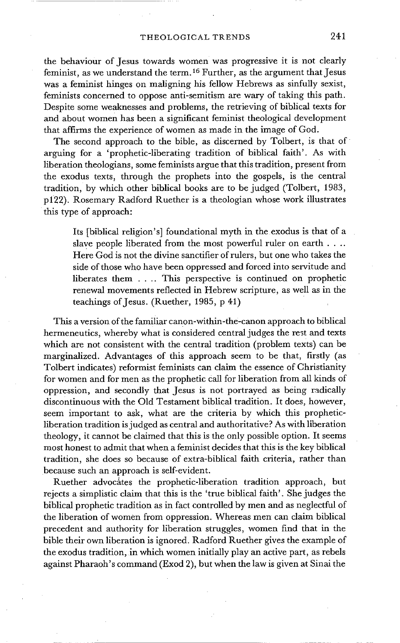the behaviour of Jesus towards women was progressive it is not clearly feminist, as we understand the term. 16 Further, as the argument that Jesus was a feminist hinges on maligning his fellow Hebrews as sinfully sexist, feminists concerned to oppose anti-semitism are wary of taking this path. Despite some weaknesses and problems, the retrieving of biblical texts for and about women has been a significant feminist theological development that affirms the experience of women as made in the image of God.

The second approach to the bible, as discerned by Tolbert, is that of arguing for a 'prophetic-liberating tradition of biblical faith'. As with liberation theologians, some feminists argue that this tradition, present from the exodus texts, through the prophets into the gospels, is the central tradition, by which other biblical books are to be judged (Tolbert, 1983, p122). Rosemary Radford Ruether is a theologian whose work illustrates this type of approach:

Its [biblical religion's] foundational myth in the exodus is that of a slave people liberated from the most powerful ruler on earth . . .. Here God is not the divine sanctifier of rulers, but one who takes the side of those who have been oppressed and forced into servitude and liberates them .... This perspective is continued on prophetic renewal movements reflected in Hebrew scripture, as well as in the teachings of Jesus. (Ruether, 1985, p 41)

This a version of the familiar canon-within-the-canon approach to biblical hermeneutics, whereby what is considered central judges the rest and texts which are not consistent with the central tradition (problem texts) can be marginalized. Advantages of this approach seem to be that, firstly (as Tolbert indicates) reformist feminists can claim the essence of Christianity for women and for men as the prophetic Call for liberation from all kinds of oppression, and secondly that Jesus is not portrayed as being radically discontinuous with the Old Testament biblical tradition. It does, however, seem important to ask, what are the criteria by which this propheticliberation tradition is judged as central and authoritative? As with liberation theology, it cannot be claimed that this is the only possible option. It seems most honest to admit that when a feminist decides that this is the key biblical tradition, she does so because of extra-biblical faith criteria, rather than because such an approach is self-evident.

Ruether advocates the prophetic-liberation tradition approach, but rejects a simplistic claim that this is the 'true biblical faith'. She judges the biblical prophetic tradition as in fact controlled by men and as neglectful of the liberation of women from oppression. Whereas men can claim biblical precedent and authority for liberation struggles, women find that in the bible their own liberation is ignored. Radford Ruether gives the example of the exodus tradition, in which women initially play an active part, as rebels against Pharaoh's command (Exod 2), but when the law is given at Sinai the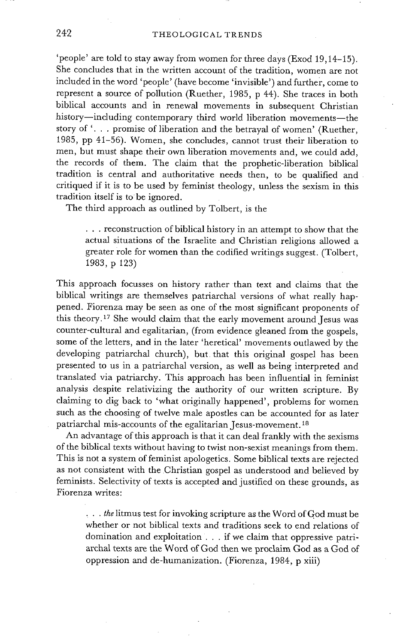'people' are told to stay away from women for three days (Exod 19,14-15). She concludes that in the written account of the tradition, women are not included in the word 'people' (have become 'invisible' ) and further, come to represent a source of pollution (Ruether, 1985, p 44). She traces in both biblical accounts and in renewal movements in subsequent Christian history-including contemporary third world liberation movements-the story of '... promise of liberation and the betrayal of women' (Ruether, 1985, pp 41-56). Women, she concludes, cannot trust their liberation to men, but must shape their own liberation movements and, we could add, the records of them. The claim that the prophetic-liberation biblical tradition is central and authoritative needs then, to be qualified and critiqued if it is to be used by feminist theology, unless the sexism in this tradition itself is to be ignored.

The third approach as outlined by Tolbert, is the

**• . .** reconstruction of biblical history in an attempt to show that the actual situations of the Israelite and Christian religions allowed a greater role for women than the codified writings suggest. (Tolbert, 1983, p 123)

This approach focusses on history rather than text and claims that the biblical writings are themselves patriarchal versions of what really happened. Fiorenza may be seen as one of the most significant proponents of this theory.<sup>17</sup> She would claim that the early movement around Jesus was counter-cultural and egalitarian, (from evidence gleaned from the gospels, some of the letters, and in the later 'heretical' movements outlawed by the developing patriarchal church), but that this original gospel has been presented to us in a patriarchal version, as well as being interpreted and translated via patriarchy. This approach has been influential in feminist analysis despite relativizing the authority of our written scripture. By claiming to dig back to 'what originally happened', problems for women such as the choosing of twelve male apostles can be accounted for as later patriarchal mis-accounts of the egalitarian Jesus-movement.<sup>18</sup>

An advantage of this approach is that it can deal frankly with the sexisms of the biblical texts without having to twist non-sexist meanings from them. This is not a system of feminist apologetics. Some biblical texts are rejected as not consistent with the Christian gospel as understood and believed by feminists. Selectivity of texts is accepted and justified on these grounds, as Fiorenza writes:

*• . . the litmus test for invoking scripture as the Word of God must be* whether or not biblical texts and traditions seek to end relations of domination and exploitation.., if we claim that oppressive patriarchal texts are the Word of God then we proclaim God as a God of oppression and de-humanization. (Fiorenza, 1984, p xiii)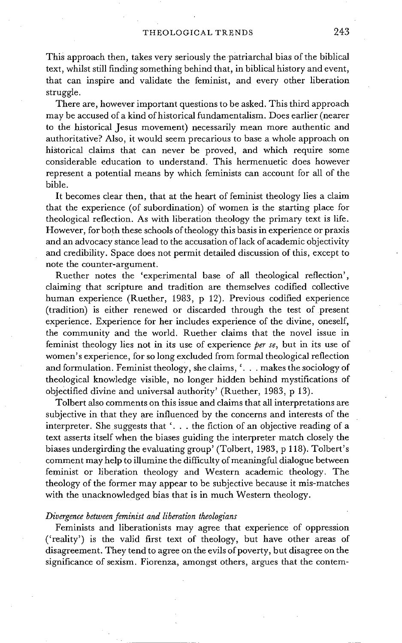This approach then, takes very seriously the patriarchal bias of the biblical text, whilst still finding something behind that, in biblical history and event, that can inspire and validate the feminist, and every other liberation struggle.

There are, however important questions to be asked. This third approach may be accused of a kind of historical fundamentalism. Does earlier (nearer to the historical Jesus movement) necessarily mean more authentic and authoritative? Also, it would seem precarious to base a whole approach on historical claims that can never be proved, and which require some considerable education to understand. This hermenuetic does however represent a potential means by which feminists can account for all of the bible.

It becomes clear then, that at the heart of feminist theology lies a claim that the experience (of subordination) of women is the starting place for theological reflection. As with liberation theology the primary text is life. However, for both these schools of theology this basis in experience or praxis and an advocacy stance lead to the accusation of lack of academic objectivity and credibility. Space does not permit detailed discussion of this, except to note the counter-argument.

Ruether notes the 'experimental base of all theological reflection', claiming that scripture and tradition are themselves codified collective human experience (Ruether, 1983, p 12). Previous codified experience (tradition) is either renewed or discarded through the test of present experience. Experience for her includes experience of the divine, oneself, the community and the world. Ruether claims that the novel issue in feminist theology lies not in its use of experience *per se,* but in its use of women's experience, for so long excluded from formal theological reflection and formulation. Feminist theology, she claims, '... makes the sociology of theological knowledge visible, no longer hidden behind mystifications of objectified divine and universal authority' (Ruether, 1983, p 13).

Tolbert also comments on this issue and claims that all interpretations are subjective in that they are influenced by the concerns and interests of the interpreter. She suggests that '... the fiction of an objective reading of a text asserts itself when the biases guiding the interpreter match closely the biases undergirding the evaluating group' (Tolbert, 1983, p 118). Tolbert's comment may help to illumine the difficulty of meaningful dialogue between feminist or liberation theology and Western academic theology. The theology of the former may appear to be subjective because it mis-matches with the unacknowledged bias that is in much Western theology.

#### *Divergence between feminist and liberation theologians*

Feminists and liberationists may agree that experience of oppression ('reality') is the valid first text of theology, but have other areas of disagreement. They tend to agree on the evils of poverty, but disagree on the significance of sexism. Fiorenza, amongst others, argues that the contem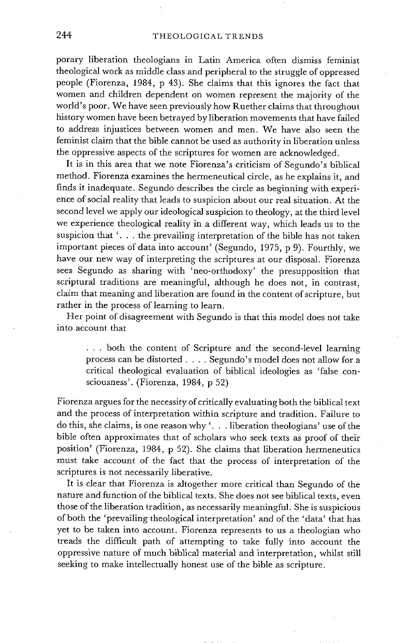porary liberation theologians in Latin America often dismiss feminist theological work as middle class and peripheral to the struggle of oppressed people (Fiorenza, 1984, p 43). She claims that this ignores the fact that women and children dependent on women represent the majority of the world's poor. We have seen previously how Ruether claims that throughout history women have been betrayed by liberation movements that have failed to address injustices between women and men. We have also seen the feminist claim that the bible cannot be used as authority in liberation unless the oppressive aspects of the scriptures for women are acknowledged.

It is in this area that we note Fiorenza's criticism of Segundo's biblical method. Fiorenza examines the hermeneutical circle, as he explains it, and finds it inadequate. Segundo describes the circle as beginning with experience of social reality that leads to suspicion about our real situation. At the second level we apply our ideological suspicion to theology, at the third level we experience theological reality in a different way, which leads us to the suspicion that  $\ldots$  the prevailing interpretation of the bible has not taken important pieces of data into account' (Segundo, 1975, p 9). Fourthly, we have our new way of interpreting the scriptures at our disposal. Fiorenza sees Segundo as sharing with 'neo-orthodoxy' the presupposition that scriptural traditions are meaningful, although he does not, in contrast, claim that meaning and liberation are found in the content of scripture, but rather in the process of learning to learn.

Her point of disagreement with Segundo is that this model does not take into account that

... both the content of Scripture and the second-level learning process can be distorted .... Segundo's model does not allow for a critical theological evaluation of biblical ideologies as 'false consciousness'. (Fiorenza, 1984, p 52)

Fiorenza argues for the necessity of critically evaluating both the biblical text and the process of interpretation within scripture and tradition. Failure to do this, she claims, is one reason why '... liberation theologians' use of the bible often approximates that of scholars who seek texts as proof of their position' (Fiorenza, 1984, p 52). She claims that liberation hermeneutics must take account of the fact that the process of interpretation of the scriptures is not necessarily liberative.

It is clear that Fiorenza is altogether more critical than Segundo of the nature and function of the biblical texts. She does not see biblical texts, even those of the liberation tradition, as necessarily meaningful. She is suspicious of both the 'prevailing theological interpretation' and of the 'data' that has yet to be taken into account. Fiorenza represents to us a theologian who treads the difficult path of attempting to take fully into account the oppressive nature oF much biblical material and interpretation, whilst still seeking to make intellectually honest use of the bible as scripture: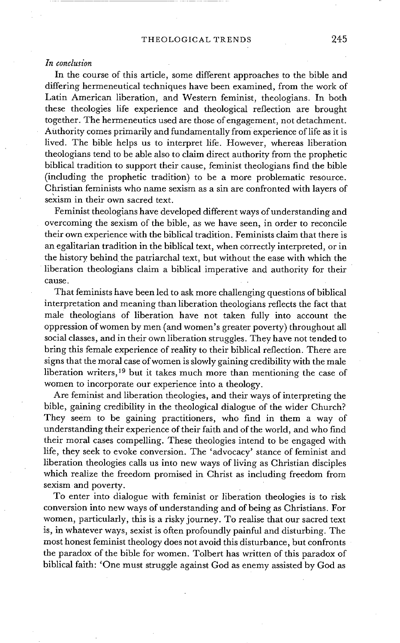#### *In conclusion*

In the course of this article, some different approaches to the bible and differing hermeneutical techniques have been examined, from the work of Latin American liberation, and Western feminist, theologians. In both these theologies life experience and theological reflection are brought together. The hermeneutics used are those of engagement, not detachment. Authority comes primarily and fundamentally from experience of life as it is lived. The bible helps us to interpret life. However, whereas liberation theologians tend to be able also to claim direct authority from the prophetic biblical tradition to support their cause, feminist theologians find the bible (including the prophetic tradition) to be a more problematic resource. Christian feminists who name sexism as a sin are confronted with layers of sexism in their own sacred text.

Feminist theologians have developed different ways of understanding and overcoming the sexism of the bible, as we have seen, in order to reconcile their own experience with the biblical tradition. Feminists claim that there is an egalitarian tradition in the biblical text, when correctly interpreted, or in the history behind the patriarchal text, but without the ease with which the liberation theologians claim a biblical imperative and authority for their cause.

That feminists have been led to ask more challenging questions of biblical interpretation and meaning than liberation theologians reflects the fact that male theologians of liberation have not taken fully into account the oppression of women by men (and women's greater poverty) throughout all social classes, and in their own liberation struggles. They have not tended to bring this female experience of reality to their biblical reflection. There are signs that the moral case of women is slowly gaining credibility with the male liberation writers, 19 but it takes much more than mentioning the case of women to incorporate our experience into a theology.

Are feminist and liberation theologies, and their ways of interpreting the bible, gaining credibility in the theological dialogue of the wider Church? They seem to be gaining practitioners, who find in them a way of understanding their experience of their faith and of the world, and who find their moral cases compelling. These theologies intend to be engaged with life, they seek to evoke conversion. The 'advocacy' stance of feminist and liberation theologies calls us into new ways of living as Christian disciples which realize the freedom promised in Christ as including freedom from sexism and poverty.

To enter into dialogue with feminist or liberation theologies is to risk conversion into new ways of understanding and of being as Christians. For women, particularly, this is a risky journey. To realise that our sacred text is, in whatever ways, sexist is often profoundly painful and disturbing. The most honest feminist theology does not avoid this disturbance, but confronts the paradox of the bible for women. Tolbert has written of this paradox of biblical faith: 'One must struggle against God as enemy assisted by God as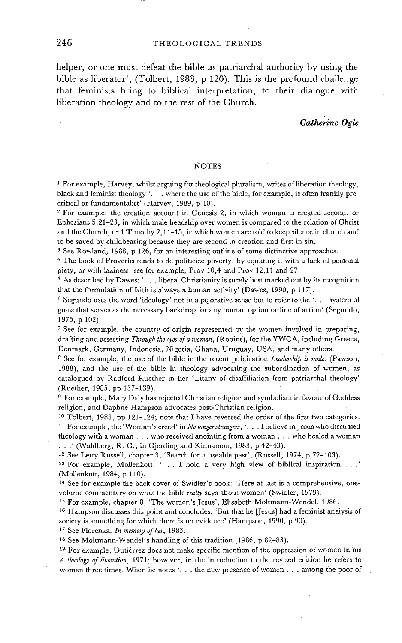#### 246 THEOLOGICAL TRENDS

helper, or one must defeat the bible as patriarchal authority by using the bible as liberator', (Tolbert, 1983, p 120). This is the profound challenge that feminists bring to biblical interpretation, to their dialogue with liberation theology and to the rest of the Church.

#### *Catherine Ogle*

#### NOTES

 $<sup>1</sup>$  For example, Harvey, whilst arguing for theological pluralism, writes of liberation theology,</sup> black and feminist theology '... where the use of the bible, for example, is often frankly precritical or fundamentalist' (Harvey, 1989, p 10).

2 For example: the creation account in Genesis 2, in which woman is created second, or Ephesians 5,21-23, in which male headship over women is compared to the relation of Christ and the Church, or  $1$  Timothy  $2,11-15$ , in which women are told to keep silence in church and to be saved by childbearing because they are second in creation and first in sin.

s See Rowland, 1988, p 126, for an interesting outline of some distinctive approaches.

<sup>4</sup> The book of Proverbs tends to de-politicize poverty, by equating it with a lack of personal piety, or with laziness: see for example, Prov 10,4 and Prov 12,11 and 27.

5 As described by Dawes: '... liberal Christianity is surely best marked out by its recognition that the formulation of faith is always a human activity' (Dawes, 1990, p 117).

<sup>6</sup> Segundo uses the word 'ideology' not in a pejorative sense but to refer to the '... system of goals that serves as the necessary backdrop for any human option or line of action' (Segundo, 1975, p 102).

7 See for example, the country of origin represented by the women involved in preparing, drafting and assessing *Through the eyes of a woman,* (Robins), for the YWCA, including Greece, Denmark, Germany, Indonesia, Nigeria, Ghana, Uruguay, USA, and many others.

8 See for example, the use of the bible in the recent publication *Leadership is male,* (Pawson, 1988), and the use of the bible in theology advocating the subordination of women, as catalogued by Radford Ruether in her 'Litany of disaffiliation from patriarchal theology' (Ruether, 1985, pp 137-139).

9 For example, Mary Daly has rejected Christian religion and symbolism in favour of Goddess religion, and Daphne Hampson advocates post-Christian religion.

<sup>10</sup> Tolbert, 1983, pp 121-124; note that I have reversed the order of the first two categories. 11 For example, the 'Woman's creed' in *No longer strangers,* '... I believe in Jesus who discussed theology with a woman . . . who received anointing from a woman . . . who healed a woman • . .' (Wahlberg, R. C., in Gjerding and Kinnamon, 1983, p 42-43).

12 See Letty Russell, chapter 3, 'Search for a useable past', (Russell, 1974, p 72-103).

13 For example, Mollenkott: '... I hold a very high view of biblical inspiration . . .' (Mollenkott, 1984, p 110).

14 See for example the back cover of Swidler's book: 'Here at last is a comprehensive, onevolume commentary on what the bible *really* says about women' (Swidler, 1979).

15 For example, chapter 8, 'The *women's Jesus',* Elisabeth Moltmann-Wendel, 1986.

<sup>16</sup> Hampson discusses this point and concludes: 'But that he [Jesus] had a feminist analysis of society is something for which there is no evidence' (Hampson, 1990, p 90).

17 See Fiorenza: *In memory of her,* 1983.

<sup>18</sup> See Moltmann-Wendel's handling of this tradition (1986, p 82-83).

<sup>19</sup> For example, Gutiérrez does not make specific mention of the oppression of women in his *A theolog7 of liberation,* 1971; however, in the introduction to the revised edition he refers to women three times. When he notes '... the new presence of women.., among the poor of